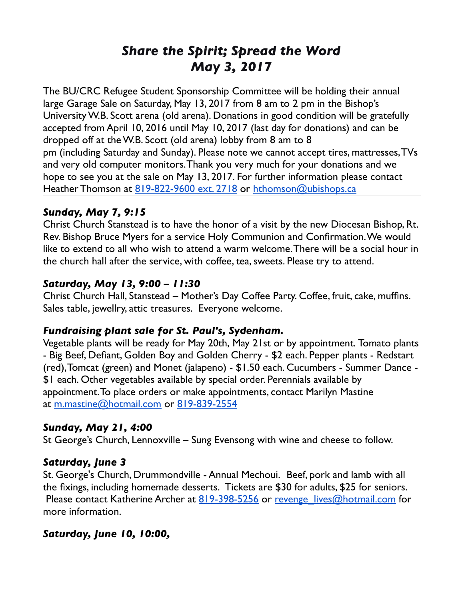# *Share the Spirit; Spread the Word May 3, 2017*

The BU/CRC Refugee Student Sponsorship Committee will be holding their annual large Garage Sale on Saturday, May 13, 2017 from 8 am to 2 pm in the Bishop's University W.B. Scott arena (old arena). Donations in good condition will be gratefully accepted from April 10, 2016 until May 10, 2017 (last day for donations) and can be dropped off at the W.B. Scott (old arena) lobby from 8 am to 8 pm (including Saturday and Sunday). Please note we cannot accept tires, mattresses, TVs and very old computer monitors. Thank you very much for your donations and we hope to see you at the sale on May 13, 2017. For further information please contact Heather Thomson at [819-822-9600 ext. 2718](tel:(819)%20822-9600) or [hthomson@ubishops.ca](mailto:hthomson@ubishops.ca)

### *Sunday, May 7, 9:15*

Christ Church Stanstead is to have the honor of a visit by the new Diocesan Bishop, Rt. Rev. Bishop Bruce Myers for a service Holy Communion and Confirmation. We would like to extend to all who wish to attend a warm welcome. There will be a social hour in the church hall after the service, with coffee, tea, sweets. Please try to attend.

#### *Saturday, May 13, 9:00 – 11:30*

Christ Church Hall, Stanstead – Mother's Day Coffee Party. Coffee, fruit, cake, muffins. Sales table, jewellry, attic treasures. Everyone welcome.

#### *Fundraising plant sale for St. Paul's, Sydenham.*

Vegetable plants will be ready for May 20th, May 21st or by appointment. Tomato plants - Big Beef, Defiant, Golden Boy and Golden Cherry - \$2 each. Pepper plants - Redstart (red), Tomcat (green) and Monet (jalapeno) - \$1.50 each. Cucumbers - Summer Dance - \$1 each. Other vegetables available by special order. Perennials available by appointment. To place orders or make appointments, contact Marilyn Mastine at [m.mastine@hotmail.com](mailto:m.mastine@hotmail.com) or [819-839-2554](tel:(819)%20839-2554)

#### *Sunday, May 21, 4:00*

St George's Church, Lennoxville – Sung Evensong with wine and cheese to follow.

#### *Saturday, June 3*

St. George's Church, Drummondville - Annual Mechoui. Beef, pork and lamb with all the fixings, including homemade desserts. Tickets are \$30 for adults, \$25 for seniors. Please contact Katherine Archer at  $819-398-5256$  or revenge lives@hotmail.com for more information.

## *Saturday, June 10, 10:00,*